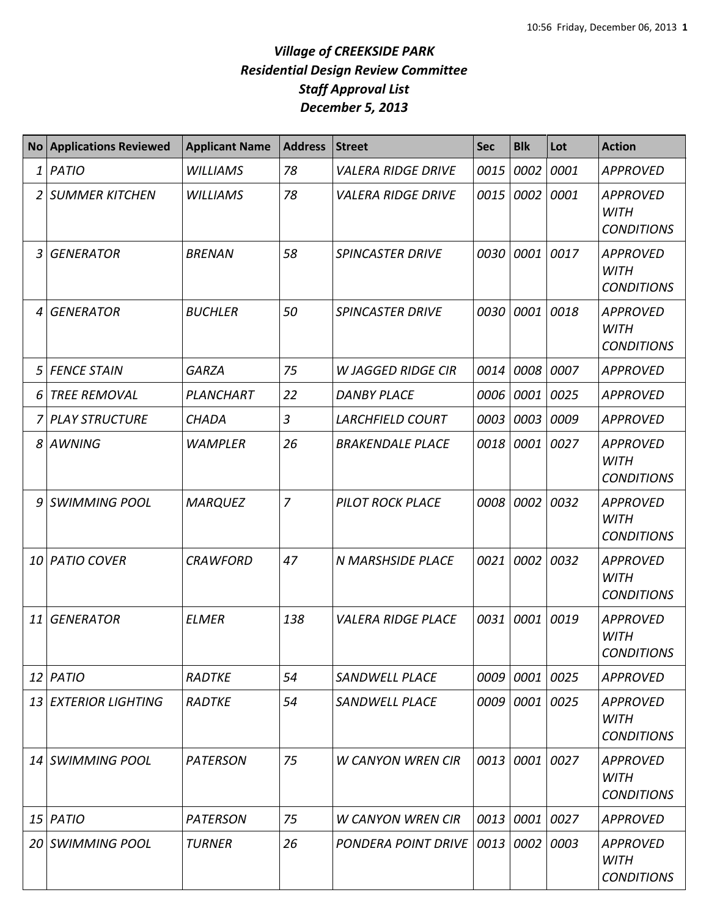## *Village of CREEKSIDE PARK Residential Design Review Committee Staff Approval List December 5, 2013*

| <b>No</b> | <b>Applications Reviewed</b> | <b>Applicant Name</b> | <b>Address</b> | <b>Street</b>             | <b>Sec</b> | <b>Blk</b> | Lot  | <b>Action</b>                                       |
|-----------|------------------------------|-----------------------|----------------|---------------------------|------------|------------|------|-----------------------------------------------------|
| 1         | PATIO                        | <b>WILLIAMS</b>       | 78             | <b>VALERA RIDGE DRIVE</b> | 0015       | 0002       | 0001 | <b>APPROVED</b>                                     |
|           | <b>SUMMER KITCHEN</b>        | <b>WILLIAMS</b>       | 78             | <b>VALERA RIDGE DRIVE</b> | 0015       | 0002       | 0001 | <b>APPROVED</b><br><b>WITH</b><br><b>CONDITIONS</b> |
| 3         | <b>GENERATOR</b>             | <b>BRENAN</b>         | 58             | <b>SPINCASTER DRIVE</b>   | 0030       | 0001       | 0017 | <b>APPROVED</b><br><b>WITH</b><br><b>CONDITIONS</b> |
| 4         | <b>GENERATOR</b>             | <b>BUCHLER</b>        | 50             | <b>SPINCASTER DRIVE</b>   | 0030       | 0001       | 0018 | <b>APPROVED</b><br><b>WITH</b><br><b>CONDITIONS</b> |
| 5         | <b>FENCE STAIN</b>           | <b>GARZA</b>          | 75             | <b>W JAGGED RIDGE CIR</b> | 0014       | 0008       | 0007 | <b>APPROVED</b>                                     |
| 6         | <b>TREE REMOVAL</b>          | PLANCHART             | 22             | <b>DANBY PLACE</b>        | 0006       | 0001       | 0025 | <b>APPROVED</b>                                     |
|           | <b>PLAY STRUCTURE</b>        | <b>CHADA</b>          | $\overline{3}$ | <b>LARCHFIELD COURT</b>   | 0003       | 0003       | 0009 | <b>APPROVED</b>                                     |
| 8         | <b>AWNING</b>                | <b>WAMPLER</b>        | 26             | <b>BRAKENDALE PLACE</b>   | 0018       | 0001       | 0027 | <b>APPROVED</b><br><b>WITH</b><br><b>CONDITIONS</b> |
| 9         | <b>SWIMMING POOL</b>         | <b>MARQUEZ</b>        | $\overline{7}$ | <b>PILOT ROCK PLACE</b>   | 0008       | 0002       | 0032 | <b>APPROVED</b><br><b>WITH</b><br><b>CONDITIONS</b> |
| 10        | <b>PATIO COVER</b>           | <b>CRAWFORD</b>       | 47             | N MARSHSIDE PLACE         | 0021       | 0002       | 0032 | <b>APPROVED</b><br><b>WITH</b><br><b>CONDITIONS</b> |
| 11        | <b>GENERATOR</b>             | <b>ELMER</b>          | 138            | <b>VALERA RIDGE PLACE</b> | 0031       | 0001       | 0019 | <b>APPROVED</b><br><b>WITH</b><br><b>CONDITIONS</b> |
| 12        | PATIO                        | RADTKE                | 54             | <b>SANDWELL PLACE</b>     |            | 0009 0001  | 0025 | <b>APPROVED</b>                                     |
| 13        | <b>EXTERIOR LIGHTING</b>     | RADTKE                | 54             | <b>SANDWELL PLACE</b>     | 0009       | 0001       | 0025 | <b>APPROVED</b><br><b>WITH</b><br><b>CONDITIONS</b> |
| 14        | <b>SWIMMING POOL</b>         | <b>PATERSON</b>       | 75             | <b>W CANYON WREN CIR</b>  | 0013       | 0001       | 0027 | <b>APPROVED</b><br><b>WITH</b><br><b>CONDITIONS</b> |
| 15        | PATIO                        | <b>PATERSON</b>       | 75             | <b>W CANYON WREN CIR</b>  | 0013       | 0001       | 0027 | <b>APPROVED</b>                                     |
| 20        | <b>SWIMMING POOL</b>         | <b>TURNER</b>         | 26             | PONDERA POINT DRIVE       | 0013       | 0002       | 0003 | <b>APPROVED</b><br><b>WITH</b><br><b>CONDITIONS</b> |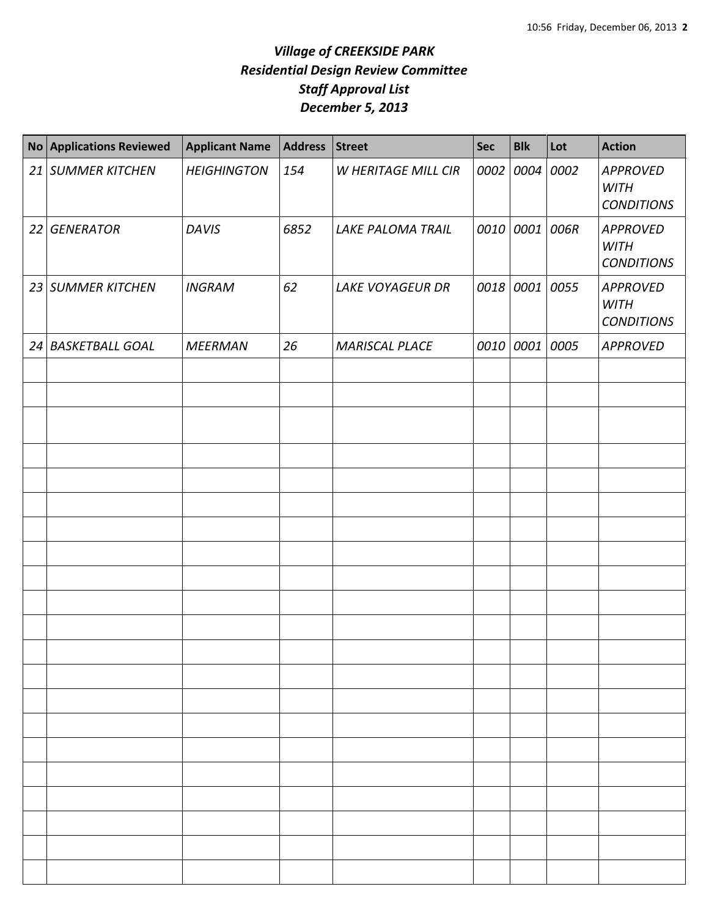## *Village of CREEKSIDE PARK Residential Design Review Committee Staff Approval List December 5, 2013*

| <b>No</b> | <b>Applications Reviewed</b> | <b>Applicant Name</b> | <b>Address</b> | <b>Street</b>            | Sec | <b>Blk</b> | Lot  | <b>Action</b>                                |
|-----------|------------------------------|-----------------------|----------------|--------------------------|-----|------------|------|----------------------------------------------|
|           | 21 SUMMER KITCHEN            | <b>HEIGHINGTON</b>    | 154            | W HERITAGE MILL CIR      |     | 0002 0004  | 0002 | APPROVED<br><b>WITH</b><br><b>CONDITIONS</b> |
|           | 22 GENERATOR                 | <b>DAVIS</b>          | 6852           | <b>LAKE PALOMA TRAIL</b> |     | 0010 0001  | 006R | APPROVED<br><b>WITH</b><br><b>CONDITIONS</b> |
|           | 23 SUMMER KITCHEN            | <b>INGRAM</b>         | 62             | <b>LAKE VOYAGEUR DR</b>  |     | 0018 0001  | 0055 | APPROVED<br><b>WITH</b><br><b>CONDITIONS</b> |
|           | 24 BASKETBALL GOAL           | <b>MEERMAN</b>        | 26             | <b>MARISCAL PLACE</b>    |     | 0010 0001  | 0005 | <b>APPROVED</b>                              |
|           |                              |                       |                |                          |     |            |      |                                              |
|           |                              |                       |                |                          |     |            |      |                                              |
|           |                              |                       |                |                          |     |            |      |                                              |
|           |                              |                       |                |                          |     |            |      |                                              |
|           |                              |                       |                |                          |     |            |      |                                              |
|           |                              |                       |                |                          |     |            |      |                                              |
|           |                              |                       |                |                          |     |            |      |                                              |
|           |                              |                       |                |                          |     |            |      |                                              |
|           |                              |                       |                |                          |     |            |      |                                              |
|           |                              |                       |                |                          |     |            |      |                                              |
|           |                              |                       |                |                          |     |            |      |                                              |
|           |                              |                       |                |                          |     |            |      |                                              |
|           |                              |                       |                |                          |     |            |      |                                              |
|           |                              |                       |                |                          |     |            |      |                                              |
|           |                              |                       |                |                          |     |            |      |                                              |
|           |                              |                       |                |                          |     |            |      |                                              |
|           |                              |                       |                |                          |     |            |      |                                              |
|           |                              |                       |                |                          |     |            |      |                                              |
|           |                              |                       |                |                          |     |            |      |                                              |
|           |                              |                       |                |                          |     |            |      |                                              |